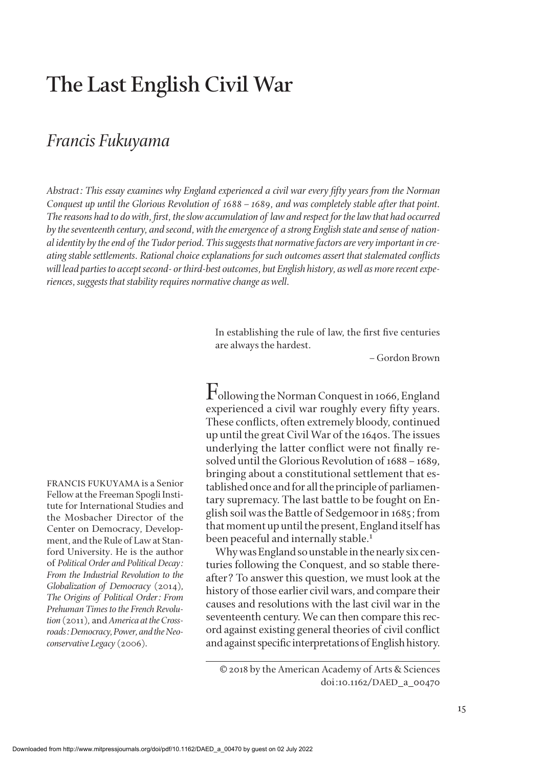## **The Last English Civil War**

## *Francis Fukuyama*

*Abstract: This essay examines why England experienced a civil war every fifty years from the Norman Conquest up until the Glorious Revolution of 1688–1689, and was completely stable after that point. The reasons had to do with, first, the slow accumulation of law and respect for the law that had occurred by the seventeenth century, and second, with the emergence of a strong English state and sense of national identity by the end of the Tudor period. This suggests that normative factors are very important in creating stable settlements. Rational choice explanations for such outcomes assert that stalemated conflicts will lead parties to accept second- or third-best outcomes, but English history, as well as more recent experiences, suggests that stability requires normative change as well.* 

> In establishing the rule of law, the first five centuries are always the hardest.

> > –Gordon Brown

Following the Norman Conquest in 1066, England experienced a civil war roughly every fifty years. These conflicts, often extremely bloody, continued up until the great Civil War of the 1640s. The issues underlying the latter conflict were not finally resolved until the Glorious Revolution of 1688–1689, bringing about a constitutional settlement that established once and for all the principle of parliamentary supremacy. The last battle to be fought on English soil was the Battle of Sedgemoor in 1685; from that moment up until the present, England itself has been peaceful and internally stable.<sup>1</sup>

Why was England so unstable in the nearly six centuries following the Conquest, and so stable thereafter? To answer this question, we must look at the history of those earlier civil wars, and compare their causes and resolutions with the last civil war in the seventeenth century. We can then compare this record against existing general theories of civil conflict and against specific interpretations of English history.

© 2018 by the American Academy of Arts & Sciences doi:10.1162/DAED\_a\_00470

FRANCIS FUKUYAMA is a Senior Fellow at the Freeman Spogli Institute for International Studies and the Mosbacher Director of the Center on Democracy, Development, and the Rule of Law at Stanford University. He is the author of *Political Order and Political Decay: From the Industrial Revolution to the Globalization of Democracy* (2014), *The Origins of Political Order: From Prehuman Times to the French Revolution* (2011), and *America at the Crossroads: Democracy, Power, and the Neoconservative Legacy* (2006).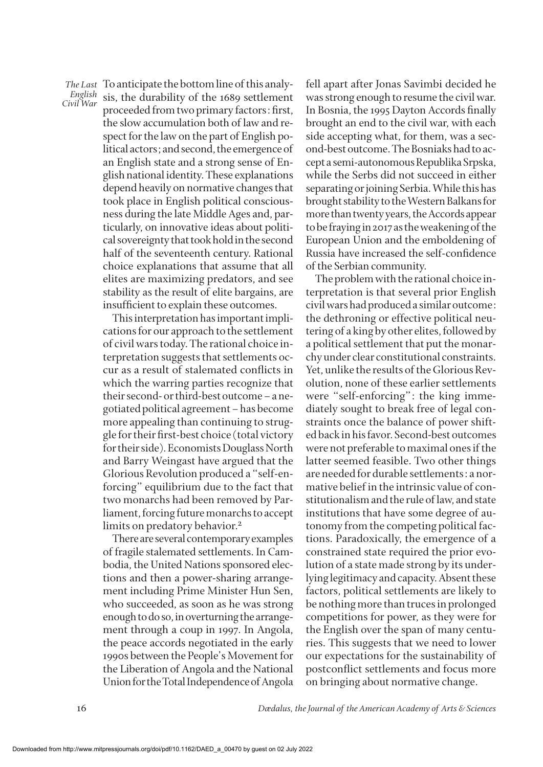*Civil War*

*The Last*  To anticipate the bottom line of this analy-*English*  sis, the durability of the 1689 settlement proceeded from two primary factors: first, the slow accumulation both of law and respect for the law on the part of English political actors; and second, the emergence of an English state and a strong sense of English national identity. These explanations depend heavily on normative changes that took place in English political consciousness during the late Middle Ages and, particularly, on innovative ideas about political sovereignty that took hold in the second half of the seventeenth century. Rational choice explanations that assume that all elites are maximizing predators, and see stability as the result of elite bargains, are insufficient to explain these outcomes.

> This interpretation has important implications for our approach to the settlement of civil wars today. The rational choice interpretation suggests that settlements occur as a result of stalemated conflicts in which the warring parties recognize that their second- or third-best outcome–a negotiated political agreement–has become more appealing than continuing to struggle for their first-best choice (total victory for their side). Economists Douglass North and Barry Weingast have argued that the Glorious Revolution produced a "self-enforcing" equilibrium due to the fact that two monarchs had been removed by Parliament, forcing future monarchs to accept limits on predatory behavior.<sup>2</sup>

> There are several contemporary examples of fragile stalemated settlements. In Cambodia, the United Nations sponsored elections and then a power-sharing arrangement including Prime Minister Hun Sen, who succeeded, as soon as he was strong enough to do so, in overturning the arrangement through a coup in 1997. In Angola, the peace accords negotiated in the early 1990s between the People's Movement for the Liberation of Angola and the National Union for the Total Independence of Angola

fell apart after Jonas Savimbi decided he was strong enough to resume the civil war. In Bosnia, the 1995 Dayton Accords finally brought an end to the civil war, with each side accepting what, for them, was a second-best outcome. The Bosniaks had to accept a semi-autonomous Republika Srpska, while the Serbs did not succeed in either separating or joining Serbia. While this has brought stability to the Western Balkans for more than twenty years, the Accords appear to be fraying in 2017 as the weakening of the European Union and the emboldening of Russia have increased the self-confidence of the Serbian community.

The problem with the rational choice interpretation is that several prior English civil wars had produced a similar outcome: the dethroning or effective political neutering of a king by other elites, followed by a political settlement that put the monarchy under clear constitutional constraints. Yet, unlike the results of the Glorious Revolution, none of these earlier settlements were "self-enforcing": the king immediately sought to break free of legal constraints once the balance of power shifted back in his favor. Second-best outcomes were not preferable to maximal ones if the latter seemed feasible. Two other things are needed for durable settlements: a normative belief in the intrinsic value of constitutionalism and the rule of law, and state institutions that have some degree of autonomy from the competing political factions. Paradoxically, the emergence of a constrained state required the prior evolution of a state made strong by its underlying legitimacy and capacity. Absent these factors, political settlements are likely to be nothing more than truces in prolonged competitions for power, as they were for the English over the span of many centuries. This suggests that we need to lower our expectations for the sustainability of postconflict settlements and focus more on bringing about normative change.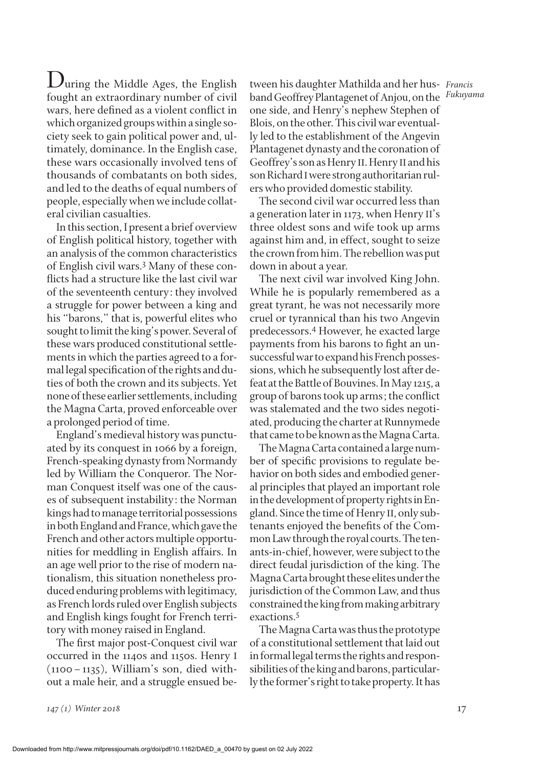Uuring the Middle Ages, the English fought an extraordinary number of civil wars, here defined as a violent conflict in which organized groups within a single society seek to gain political power and, ultimately, dominance. In the English case, these wars occasionally involved tens of thousands of combatants on both sides, and led to the deaths of equal numbers of people, especially when we include collateral civilian casualties.

In this section, I present a brief overview of English political history, together with an analysis of the common characteristics of English civil wars.3 Many of these conflicts had a structure like the last civil war of the seventeenth century: they involved a struggle for power between a king and his "barons," that is, powerful elites who sought to limit the king's power. Several of these wars produced constitutional settlements in which the parties agreed to a formal legal specification of the rights and duties of both the crown and its subjects. Yet none of these earlier settlements, including the Magna Carta, proved enforceable over a prolonged period of time.

England's medieval history was punctuated by its conquest in 1066 by a foreign, French-speaking dynasty from Normandy led by William the Conqueror. The Norman Conquest itself was one of the causes of subsequent instability: the Norman kings had to manage territorial possessions in both England and France, which gave the French and other actors multiple opportunities for meddling in English affairs. In an age well prior to the rise of modern nationalism, this situation nonetheless produced enduring problems with legitimacy, as French lords ruled over English subjects and English kings fought for French territory with money raised in England.

The first major post-Conquest civil war occurred in the 1140s and 1150s. Henry I  $(1100-1135)$ , William's son, died without a male heir, and a struggle ensued be-

*147 (1) Winter 2018* 17

*Francis* tween his daughter Mathilda and her hus-*Fukuyama* band Geoffrey Plantagenet of Anjou, on the one side, and Henry's nephew Stephen of Blois, on the other. This civil war eventually led to the establishment of the Angevin Plantagenet dynasty and the coronation of Geoffrey's son as Henry II. Henry II and his son Richard I were strong authoritarian rulers who provided domestic stability.

The second civil war occurred less than a generation later in 1173, when Henry II's three oldest sons and wife took up arms against him and, in effect, sought to seize the crown from him. The rebellion was put down in about a year.

The next civil war involved King John. While he is popularly remembered as a great tyrant, he was not necessarily more cruel or tyrannical than his two Angevin predecessors.4 However, he exacted large payments from his barons to fight an unsuccessful war to expand his French possessions, which he subsequently lost after defeat at the Battle of Bouvines. In May 1215, a group of barons took up arms; the conflict was stalemated and the two sides negotiated, producing the charter at Runnymede that came to be known as the Magna Carta.

The Magna Carta contained a large number of specific provisions to regulate behavior on both sides and embodied general principles that played an important role in the development of property rights in England. Since the time of Henry II, only subtenants enjoyed the benefits of the Common Law through the royal courts. The tenants-in-chief, however, were subject to the direct feudal jurisdiction of the king. The Magna Carta brought these elites under the jurisdiction of the Common Law, and thus constrained the king from making arbitrary exactions.5

The Magna Carta was thus the prototype of a constitutional settlement that laid out in formal legal terms the rights and responsibilities of the king and barons, particularly the former's right to take property. It has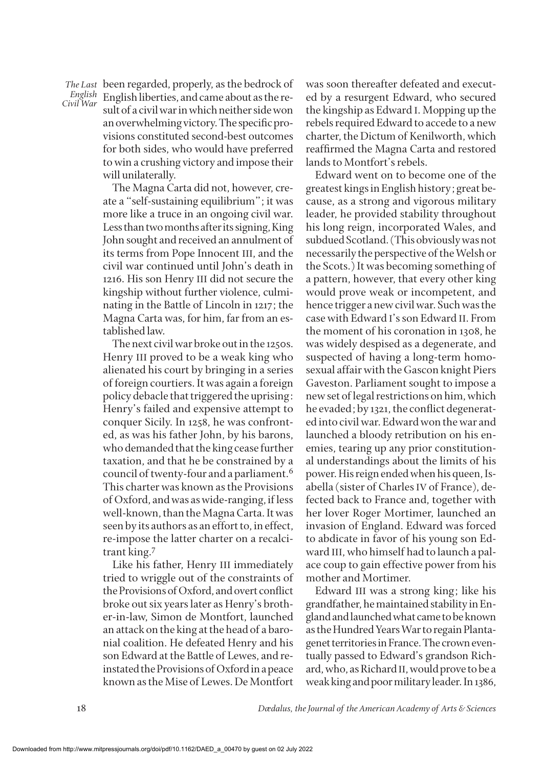*Civil War*

*The Last*  been regarded, properly, as the bedrock of *English*  English liberties, and came about as the result of a civil war in which neither side won an overwhelming victory. The specific provisions constituted second-best outcomes for both sides, who would have preferred to win a crushing victory and impose their will unilaterally.

> The Magna Carta did not, however, create a "self-sustaining equilibrium"; it was more like a truce in an ongoing civil war. Less than two months after its signing, King John sought and received an annulment of its terms from Pope Innocent III, and the civil war continued until John's death in 1216. His son Henry III did not secure the kingship without further violence, culminating in the Battle of Lincoln in 1217; the Magna Carta was, for him, far from an established law.

> The next civil war broke out in the 1250s. Henry III proved to be a weak king who alienated his court by bringing in a series of foreign courtiers. It was again a foreign policy debacle that triggered the uprising: Henry's failed and expensive attempt to conquer Sicily. In 1258, he was confronted, as was his father John, by his barons, who demanded that the king cease further taxation, and that he be constrained by a council of twenty-four and a parliament.<sup>6</sup> This charter was known as the Provisions of Oxford, and was as wide-ranging, if less well-known, than the Magna Carta. It was seen by its authors as an effort to, in effect, re-impose the latter charter on a recalcitrant king.<sup>7</sup>

> Like his father, Henry III immediately tried to wriggle out of the constraints of the Provisions of Oxford, and overt conflict broke out six years later as Henry's brother-in-law, Simon de Montfort, launched an attack on the king at the head of a baronial coalition. He defeated Henry and his son Edward at the Battle of Lewes, and reinstated the Provisions of Oxford in a peace known as the Mise of Lewes. De Montfort

was soon thereafter defeated and executed by a resurgent Edward, who secured the kingship as Edward I. Mopping up the rebels required Edward to accede to a new charter, the Dictum of Kenilworth, which reaffirmed the Magna Carta and restored lands to Montfort's rebels.

Edward went on to become one of the greatest kings in English history; great because, as a strong and vigorous military leader, he provided stability throughout his long reign, incorporated Wales, and subdued Scotland. (This obviously was not necessarily the perspective of the Welsh or the Scots.) It was becoming something of a pattern, however, that every other king would prove weak or incompetent, and hence trigger a new civil war. Such was the case with Edward I's son Edward II. From the moment of his coronation in 1308, he was widely despised as a degenerate, and suspected of having a long-term homosexual affair with the Gascon knight Piers Gaveston. Parliament sought to impose a new set of legal restrictions on him, which he evaded; by 1321, the conflict degenerated into civil war. Edward won the war and launched a bloody retribution on his enemies, tearing up any prior constitutional understandings about the limits of his power. His reign ended when his queen, Isabella (sister of Charles IV of France), defected back to France and, together with her lover Roger Mortimer, launched an invasion of England. Edward was forced to abdicate in favor of his young son Edward III, who himself had to launch a palace coup to gain effective power from his mother and Mortimer.

Edward III was a strong king; like his grandfather, he maintained stability in England and launched what came to be known as the Hundred Years War to regain Plantagenet territories in France. The crown eventually passed to Edward's grandson Richard, who, as Richard II, would prove to be a weak king and poor military leader. In 1386,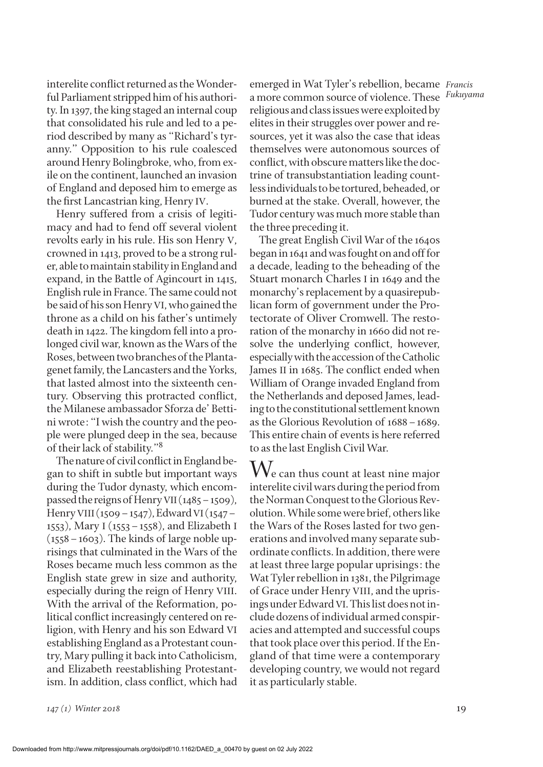interelite conflict returned as the Wonderful Parliament stripped him of his authority. In 1397, the king staged an internal coup that consolidated his rule and led to a period described by many as "Richard's tyranny." Opposition to his rule coalesced around Henry Bolingbroke, who, from exile on the continent, launched an invasion of England and deposed him to emerge as the first Lancastrian king, Henry IV.

Henry suffered from a crisis of legitimacy and had to fend off several violent revolts early in his rule. His son Henry V, crowned in 1413, proved to be a strong ruler, able to maintain stability in England and expand, in the Battle of Agincourt in 1415, English rule in France. The same could not be said of his son Henry VI, who gained the throne as a child on his father's untimely death in 1422. The kingdom fell into a prolonged civil war, known as the Wars of the Roses, between two branches of the Plantagenet family, the Lancasters and the Yorks, that lasted almost into the sixteenth century. Observing this protracted conflict, the Milanese ambassador Sforza de' Bettini wrote: "I wish the country and the people were plunged deep in the sea, because of their lack of stability."8

The nature of civil conflict in England began to shift in subtle but important ways during the Tudor dynasty, which encompassed the reigns of Henry VII (1485–1509), Henry VIII (1509–1547), Edward VI (1547– 1553), Mary I (1553–1558), and Elizabeth I  $(1558 - 1603)$ . The kinds of large noble uprisings that culminated in the Wars of the Roses became much less common as the English state grew in size and authority, especially during the reign of Henry VIII. With the arrival of the Reformation, political conflict increasingly centered on religion, with Henry and his son Edward VI establishing England as a Protestant country, Mary pulling it back into Catholicism, and Elizabeth reestablishing Protestantism. In addition, class conflict, which had

emerged in Wat Tyler's rebellion, became Francis a more common source of violence. These Fukuyama religious and class issues were exploited by elites in their struggles over power and resources, yet it was also the case that ideas themselves were autonomous sources of conflict, with obscure matters like the doctrine of transubstantiation leading countless individuals to be tortured, beheaded, or burned at the stake. Overall, however, the Tudor century was much more stable than the three preceding it.

The great English Civil War of the 1640s began in 1641 and was fought on and off for a decade, leading to the beheading of the Stuart monarch Charles I in 1649 and the monarchy's replacement by a quasirepublican form of government under the Protectorate of Oliver Cromwell. The restoration of the monarchy in 1660 did not resolve the underlying conflict, however, especially with the accession of the Catholic James II in 1685. The conflict ended when William of Orange invaded England from the Netherlands and deposed James, leading to the constitutional settlement known as the Glorious Revolution of 1688–1689. This entire chain of events is here referred to as the last English Civil War.

 $\textstyle{\mathop{W}\nolimits_{\text{e}}}$  can thus count at least nine major interelite civil wars during the period from the Norman Conquest to the Glorious Revolution. While some were brief, others like the Wars of the Roses lasted for two generations and involved many separate subordinate conflicts. In addition, there were at least three large popular uprisings: the Wat Tyler rebellion in 1381, the Pilgrimage of Grace under Henry VIII, and the uprisings under Edward VI. This list does not include dozens of individual armed conspiracies and attempted and successful coups that took place over this period. If the England of that time were a contemporary developing country, we would not regard it as particularly stable.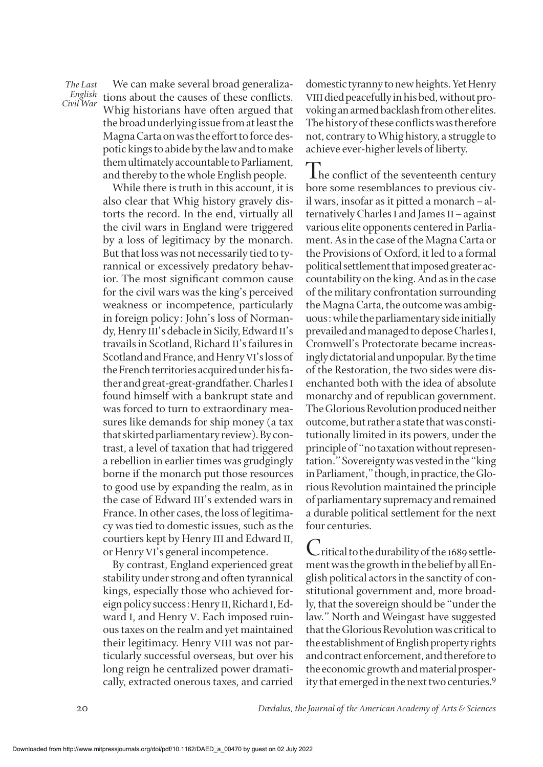*The Last Civil War*

*English* tions about the causes of these conflicts. We can make several broad generaliza-Whig historians have often argued that the broad underlying issue from at least the Magna Carta on was the effort to force despotic kings to abide by the law and to make them ultimately accountable to Parliament, and thereby to the whole English people.

> While there is truth in this account, it is also clear that Whig history gravely distorts the record. In the end, virtually all the civil wars in England were triggered by a loss of legitimacy by the monarch. But that loss was not necessarily tied to tyrannical or excessively predatory behavior. The most significant common cause for the civil wars was the king's perceived weakness or incompetence, particularly in foreign policy: John's loss of Normandy, Henry III's debacle in Sicily, Edward II's travails in Scotland, Richard II's failures in Scotland and France, and Henry VI's loss of the French territories acquired under his father and great-great-grandfather. Charles I found himself with a bankrupt state and was forced to turn to extraordinary measures like demands for ship money (a tax that skirted parliamentary review). By contrast, a level of taxation that had triggered a rebellion in earlier times was grudgingly borne if the monarch put those resources to good use by expanding the realm, as in the case of Edward III's extended wars in France. In other cases, the loss of legitimacy was tied to domestic issues, such as the courtiers kept by Henry III and Edward II, or Henry VI's general incompetence.

> By contrast, England experienced great stability under strong and often tyrannical kings, especially those who achieved foreign policy success: Henry II, Richard I, Edward I, and Henry V. Each imposed ruinous taxes on the realm and yet maintained their legitimacy. Henry VIII was not particularly successful overseas, but over his long reign he centralized power dramatically, extracted onerous taxes, and carried

domestic tyranny to new heights. Yet Henry VIII died peacefully in his bed, without provoking an armed backlash from other elites. The history of these conflicts was therefore not, contrary to Whig history, a struggle to achieve ever-higher levels of liberty.

The conflict of the seventeenth century bore some resemblances to previous civil wars, insofar as it pitted a monarch–alternatively Charles I and James II–against various elite opponents centered in Parliament. As in the case of the Magna Carta or the Provisions of Oxford, it led to a formal political settlement that imposed greater accountability on the king. And as in the case of the military confrontation surrounding the Magna Carta, the outcome was ambiguous: while the parliamentary side initially prevailed and managed to depose Charles I, Cromwell's Protectorate became increasingly dictatorial and unpopular. By the time of the Restoration, the two sides were disenchanted both with the idea of absolute monarchy and of republican government. The Glorious Revolution produced neither outcome, but rather a state that was constitutionally limited in its powers, under the principle of "no taxation without representation." Sovereignty was vested in the "king in Parliament," though, in practice, the Glorious Revolution maintained the principle of parliamentary supremacy and remained a durable political settlement for the next four centuries.

ritical to the durability of the 1689 settlement was the growth in the belief by all English political actors in the sanctity of constitutional government and, more broadly, that the sovereign should be "under the law." North and Weingast have suggested that the Glorious Revolution was critical to the establishment of English property rights and contract enforcement, and therefore to the economic growth and material prosperity that emerged in the next two centuries.9

20 *Dædalus, the Journal of the American Academy of Arts & Sciences*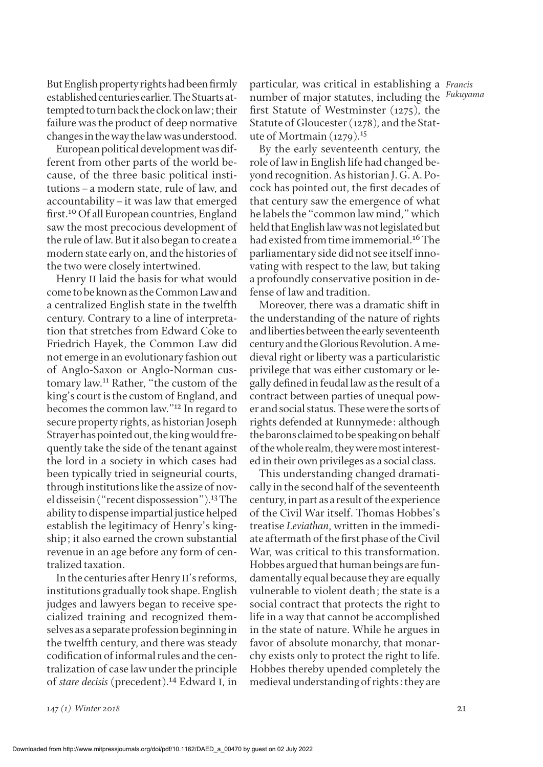But English property rights had been firmly established centuries earlier. The Stuarts attempted to turn back the clock on law; their failure was the product of deep normative changes in the way the law was understood.

European political development was different from other parts of the world because, of the three basic political institutions–a modern state, rule of law, and accountability–it was law that emerged first.<sup>10</sup> Of all European countries, England saw the most precocious development of the rule of law. But it also began to create a modern state early on, and the histories of the two were closely intertwined.

Henry II laid the basis for what would come to be known as the Common Law and a centralized English state in the twelfth century. Contrary to a line of interpretation that stretches from Edward Coke to Friedrich Hayek, the Common Law did not emerge in an evolutionary fashion out of Anglo-Saxon or Anglo-Norman customary law.11 Rather, "the custom of the king's court is the custom of England, and becomes the common law."12 In regard to secure property rights, as historian Joseph Strayer has pointed out, the king would frequently take the side of the tenant against the lord in a society in which cases had been typically tried in seigneurial courts, through institutions like the assize of novel disseisin ("recent dispossession").13 The ability to dispense impartial justice helped establish the legitimacy of Henry's kingship; it also earned the crown substantial revenue in an age before any form of centralized taxation.

In the centuries after Henry II's reforms, institutions gradually took shape. English judges and lawyers began to receive specialized training and recognized themselves as a separate profession beginning in the twelfth century, and there was steady codification of informal rules and the centralization of case law under the principle of *stare decisis* (precedent).14 Edward I, in

*Francis* particular, was critical in establishing a *Fukuyama* number of major statutes, including the first Statute of Westminster (1275), the Statute of Gloucester (1278), and the Statute of Mortmain  $(1279)^{15}$ 

By the early seventeenth century, the role of law in English life had changed beyond recognition. As historian J. G. A. Pocock has pointed out, the first decades of that century saw the emergence of what he labels the "common law mind," which held that English law was not legislated but had existed from time immemorial.<sup>16</sup> The parliamentary side did not see itself innovating with respect to the law, but taking a profoundly conservative position in defense of law and tradition.

Moreover, there was a dramatic shift in the understanding of the nature of rights and liberties between the early seventeenth century and the Glorious Revolution. A medieval right or liberty was a particularistic privilege that was either customary or legally defined in feudal law as the result of a contract between parties of unequal power and social status. These were the sorts of rights defended at Runnymede: although the barons claimed to be speaking on behalf of the whole realm, they were most interested in their own privileges as a social class.

This understanding changed dramatically in the second half of the seventeenth century, in part as a result of the experience of the Civil War itself. Thomas Hobbes's treatise *Leviathan*, written in the immediate aftermath of the first phase of the Civil War, was critical to this transformation. Hobbes argued that human beings are fundamentally equal because they are equally vulnerable to violent death; the state is a social contract that protects the right to life in a way that cannot be accomplished in the state of nature. While he argues in favor of absolute monarchy, that monarchy exists only to protect the right to life. Hobbes thereby upended completely the medieval understanding of rights: they are

*147 (1) Winter 2018* 21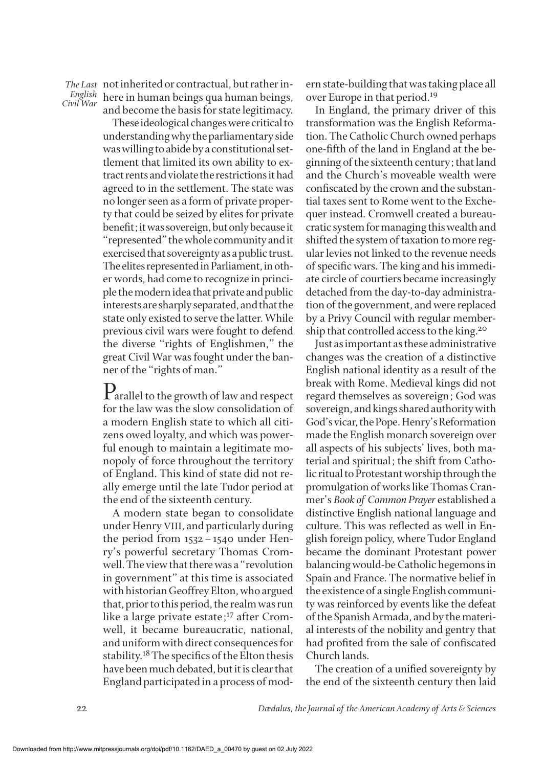*Civil War*

*The Last*  not inherited or contractual, but rather in-*English*  here in human beings qua human beings, and become the basis for state legitimacy.

> These ideological changes were critical to understanding why the parliamentary side was willing to abide by a constitutional settlement that limited its own ability to extract rents and violate the restrictions it had agreed to in the settlement. The state was no longer seen as a form of private property that could be seized by elites for private benefit; it was sovereign, but only because it "represented" the whole community and it exercised that sovereignty as a public trust. The elites represented in Parliament, in other words, had come to recognize in principle the modern idea that private and public interests are sharply separated, and that the state only existed to serve the latter. While previous civil wars were fought to defend the diverse "rights of Englishmen," the great Civil War was fought under the banner of the "rights of man."

> $P_{\text{arallel to the growth of law and respect}}$ for the law was the slow consolidation of a modern English state to which all citizens owed loyalty, and which was powerful enough to maintain a legitimate monopoly of force throughout the territory of England. This kind of state did not really emerge until the late Tudor period at the end of the sixteenth century.

> A modern state began to consolidate under Henry VIII, and particularly during the period from 1532–1540 under Henry's powerful secretary Thomas Cromwell. The view that there was a "revolution in government" at this time is associated with historian Geoffrey Elton, who argued that, prior to this period, the realm was run like a large private estate;<sup>17</sup> after Cromwell, it became bureaucratic, national, and uniform with direct consequences for stability.<sup>18</sup> The specifics of the Elton thesis have been much debated, but it is clear that England participated in a process of mod

ern state-building that was taking place all over Europe in that period.<sup>19</sup>

In England, the primary driver of this transformation was the English Reformation. The Catholic Church owned perhaps one-fifth of the land in England at the beginning of the sixteenth century; that land and the Church's moveable wealth were confiscated by the crown and the substantial taxes sent to Rome went to the Exchequer instead. Cromwell created a bureaucratic system for managing this wealth and shifted the system of taxation to more regular levies not linked to the revenue needs of specific wars. The king and his immediate circle of courtiers became increasingly detached from the day-to-day administration of the government, and were replaced by a Privy Council with regular membership that controlled access to the king.<sup>20</sup>

Just as important as these administrative changes was the creation of a distinctive English national identity as a result of the break with Rome. Medieval kings did not regard themselves as sovereign; God was sovereign, and kings shared authority with God's vicar, the Pope. Henry's Reformation made the English monarch sovereign over all aspects of his subjects' lives, both material and spiritual; the shift from Catholic ritual to Protestant worship through the promulgation of works like Thomas Cranmer's *Book of Common Prayer* established a distinctive English national language and culture. This was reflected as well in English foreign policy, where Tudor England became the dominant Protestant power balancing would-be Catholic hegemons in Spain and France. The normative belief in the existence of a single English community was reinforced by events like the defeat of the Spanish Armada, and by the material interests of the nobility and gentry that had profited from the sale of confiscated Church lands.

The creation of a unified sovereignty by the end of the sixteenth century then laid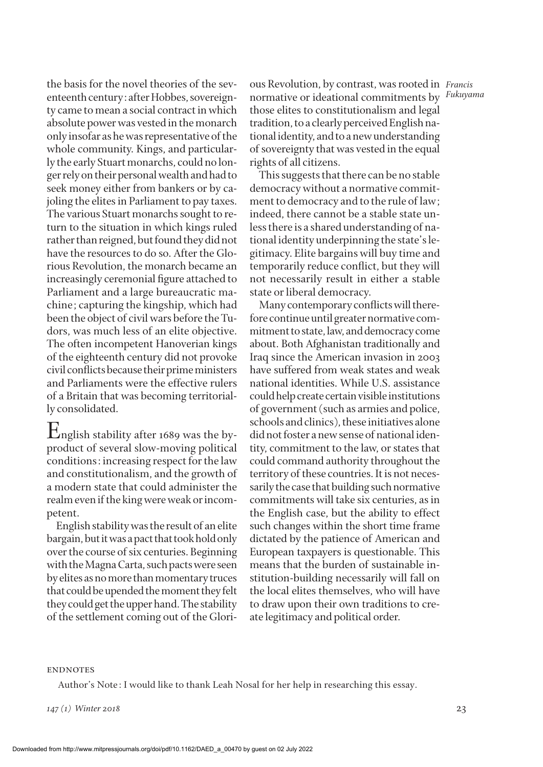the basis for the novel theories of the seventeenth century: after Hobbes, sovereignty came to mean a social contract in which absolute power was vested in the monarch only insofar as he was representative of the whole community. Kings, and particularly the early Stuart monarchs, could no longer rely on their personal wealth and had to seek money either from bankers or by cajoling the elites in Parliament to pay taxes. The various Stuart monarchs sought to return to the situation in which kings ruled rather than reigned, but found they did not have the resources to do so. After the Glorious Revolution, the monarch became an increasingly ceremonial figure attached to Parliament and a large bureaucratic machine; capturing the kingship, which had been the object of civil wars before the Tudors, was much less of an elite objective. The often incompetent Hanoverian kings of the eighteenth century did not provoke civil conflicts because their prime ministers and Parliaments were the effective rulers of a Britain that was becoming territorially consolidated.

English stability after 1689 was the byproduct of several slow-moving political conditions: increasing respect for the law and constitutionalism, and the growth of a modern state that could administer the realm even if the king were weak or incompetent.

English stability was the result of an elite bargain, but it was a pact that took hold only over the course of six centuries. Beginning with the Magna Carta, such pacts were seen by elites as no more than momentary truces that could be upended the moment they felt they could get the upper hand. The stability of the settlement coming out of the Glori-

*Francis* ous Revolution, by contrast, was rooted in *Fukuyama* normative or ideational commitments by those elites to constitutionalism and legal tradition, to a clearly perceived English national identity, and to a new understanding of sovereignty that was vested in the equal rights of all citizens.

This suggests that there can be no stable democracy without a normative commitment to democracy and to the rule of law; indeed, there cannot be a stable state unless there is a shared understanding of national identity underpinning the state's legitimacy. Elite bargains will buy time and temporarily reduce conflict, but they will not necessarily result in either a stable state or liberal democracy.

Many contemporary conflicts will therefore continue until greater normative commitment to state, law, and democracy come about. Both Afghanistan traditionally and Iraq since the American invasion in 2003 have suffered from weak states and weak national identities. While U.S. assistance could help create certain visible institutions of government (such as armies and police, schools and clinics), these initiatives alone did not foster a new sense of national identity, commitment to the law, or states that could command authority throughout the territory of these countries. It is not necessarily the case that building such normative commitments will take six centuries, as in the English case, but the ability to effect such changes within the short time frame dictated by the patience of American and European taxpayers is questionable. This means that the burden of sustainable institution-building necessarily will fall on the local elites themselves, who will have to draw upon their own traditions to create legitimacy and political order.

## **ENDNOTES**

Author's Note: I would like to thank Leah Nosal for her help in researching this essay.

*147 (1) Winter 2018* 23